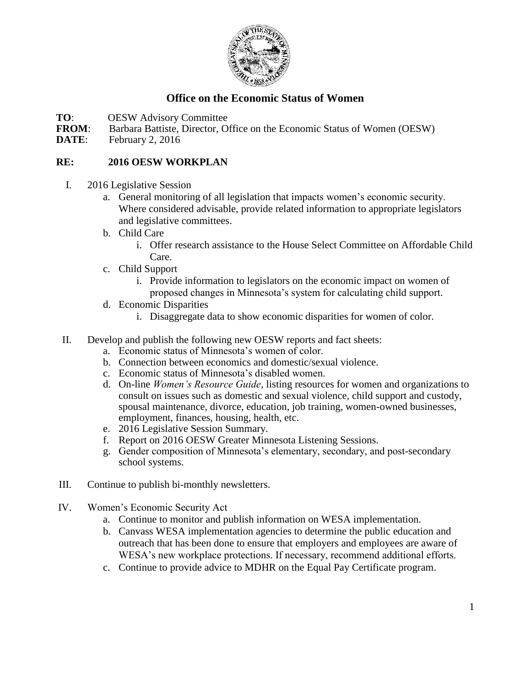

## **Office on the Economic Status of Women**

- **TO:** OESW Advisory Committee<br>**FROM:** Barbara Battiste, Director, O
- **FROM:** Barbara Battiste, Director, Office on the Economic Status of Women (OESW) **DATE:** February 2, 2016
- February 2, 2016

## **RE: 2016 OESW WORKPLAN**

- I. 2016 Legislative Session
	- a. General monitoring of all legislation that impacts women's economic security. Where considered advisable, provide related information to appropriate legislators and legislative committees.
	- b. Child Care
		- i. Offer research assistance to the House Select Committee on Affordable Child Care.
	- c. Child Support
		- i. Provide information to legislators on the economic impact on women of proposed changes in Minnesota's system for calculating child support.
	- d. Economic Disparities
		- i. Disaggregate data to show economic disparities for women of color.
- II. Develop and publish the following new OESW reports and fact sheets:
	- a. Economic status of Minnesota's women of color.
	- b. Connection between economics and domestic/sexual violence.
	- c. Economic status of Minnesota's disabled women.
	- d. On-line *Women's Resource Guide*, listing resources for women and organizations to consult on issues such as domestic and sexual violence, child support and custody, spousal maintenance, divorce, education, job training, women-owned businesses, employment, finances, housing, health, etc.
	- e. 2016 Legislative Session Summary.
	- f. Report on 2016 OESW Greater Minnesota Listening Sessions.
	- g. Gender composition of Minnesota's elementary, secondary, and post-secondary school systems.
- III. Continue to publish bi-monthly newsletters.
- IV. Women's Economic Security Act
	- a. Continue to monitor and publish information on WESA implementation.
	- b. Canvass WESA implementation agencies to determine the public education and outreach that has been done to ensure that employers and employees are aware of WESA's new workplace protections. If necessary, recommend additional efforts.
	- c. Continue to provide advice to MDHR on the Equal Pay Certificate program.